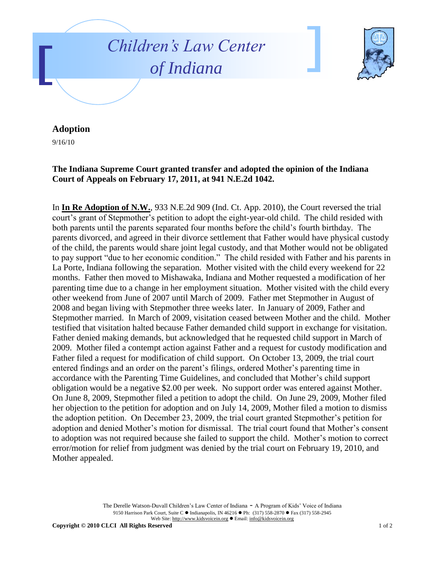



## **Adoption**

9/16/10

## **The Indiana Supreme Court granted transfer and adopted the opinion of the Indiana Court of Appeals on February 17, 2011, at 941 N.E.2d 1042.**

In **In Re Adoption of N.W.**, 933 N.E.2d 909 (Ind. Ct. App. 2010), the Court reversed the trial court's grant of Stepmother's petition to adopt the eight-year-old child. The child resided with both parents until the parents separated four months before the child's fourth birthday. The parents divorced, and agreed in their divorce settlement that Father would have physical custody of the child, the parents would share joint legal custody, and that Mother would not be obligated to pay support "due to her economic condition." The child resided with Father and his parents in La Porte, Indiana following the separation. Mother visited with the child every weekend for 22 months. Father then moved to Mishawaka, Indiana and Mother requested a modification of her parenting time due to a change in her employment situation. Mother visited with the child every other weekend from June of 2007 until March of 2009. Father met Stepmother in August of 2008 and began living with Stepmother three weeks later. In January of 2009, Father and Stepmother married. In March of 2009, visitation ceased between Mother and the child. Mother testified that visitation halted because Father demanded child support in exchange for visitation. Father denied making demands, but acknowledged that he requested child support in March of 2009. Mother filed a contempt action against Father and a request for custody modification and Father filed a request for modification of child support. On October 13, 2009, the trial court entered findings and an order on the parent's filings, ordered Mother's parenting time in accordance with the Parenting Time Guidelines, and concluded that Mother's child support obligation would be a negative \$2.00 per week. No support order was entered against Mother. On June 8, 2009, Stepmother filed a petition to adopt the child. On June 29, 2009, Mother filed her objection to the petition for adoption and on July 14, 2009, Mother filed a motion to dismiss the adoption petition. On December 23, 2009, the trial court granted Stepmother's petition for adoption and denied Mother's motion for dismissal. The trial court found that Mother's consent to adoption was not required because she failed to support the child. Mother's motion to correct error/motion for relief from judgment was denied by the trial court on February 19, 2010, and Mother appealed.

> The Derelle Watson-Duvall Children's Law Center of Indiana - A Program of Kids' Voice of Indiana 9150 Harrison Park Court, Suite C · Indianapolis, IN 46216 · Ph: (317) 558-2870 · Fax (317) 558-2945 Web Site: http://www.kidsvoicein.org · Email: info@kidsvoicein.org